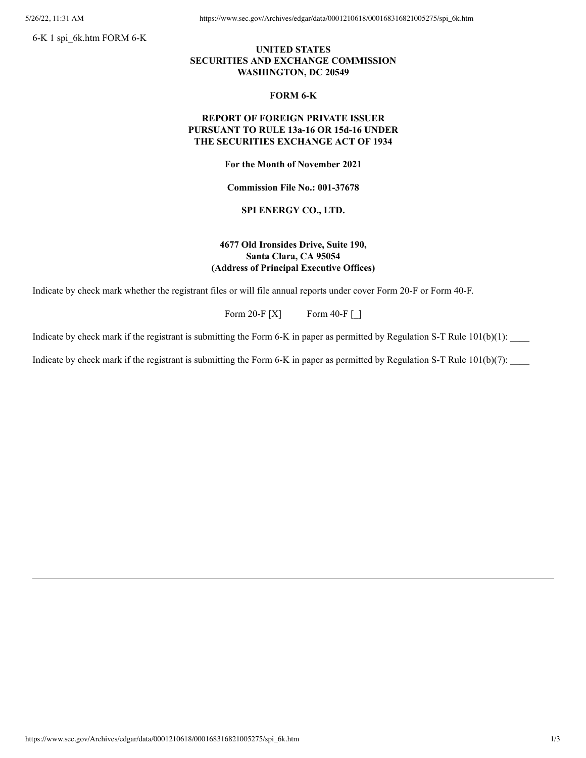6-K 1 spi\_6k.htm FORM 6-K

5/26/22, 11:31 AM https://www.sec.gov/Archives/edgar/data/0001210618/000168316821005275/spi\_6k.htm

# **UNITED STATES SECURITIES AND EXCHANGE COMMISSION WASHINGTON, DC 20549**

#### **FORM 6-K**

## **REPORT OF FOREIGN PRIVATE ISSUER PURSUANT TO RULE 13a-16 OR 15d-16 UNDER THE SECURITIES EXCHANGE ACT OF 1934**

**For the Month of November 2021**

**Commission File No.: 001-37678**

### **SPI ENERGY CO., LTD.**

# **4677 Old Ironsides Drive, Suite 190, Santa Clara, CA 95054 (Address of Principal Executive Offices)**

Indicate by check mark whether the registrant files or will file annual reports under cover Form 20-F or Form 40-F.

Form 20-F  $[X]$  Form 40-F  $\Box$ 

Indicate by check mark if the registrant is submitting the Form 6-K in paper as permitted by Regulation S-T Rule 101(b)(1):

Indicate by check mark if the registrant is submitting the Form 6-K in paper as permitted by Regulation S-T Rule  $101(b)(7)$ :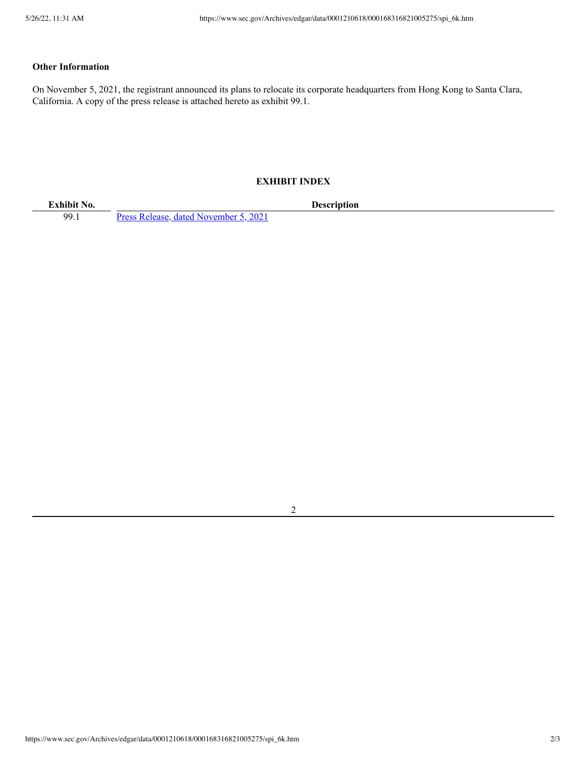# **Other Information**

On November 5, 2021, the registrant announced its plans to relocate its corporate headquarters from Hong Kong to Santa Clara, California. A copy of the press release is attached hereto as exhibit 99.1.

### **EXHIBIT INDEX**

99.1 Press Release, dated [November](https://www.sec.gov/Archives/edgar/data/0001210618/000168316821005275/spi_ex9901.htm) 5, 2021

**Exhibit No. Description**

2

https://www.sec.gov/Archives/edgar/data/0001210618/000168316821005275/spi\_6k.htm 2/3